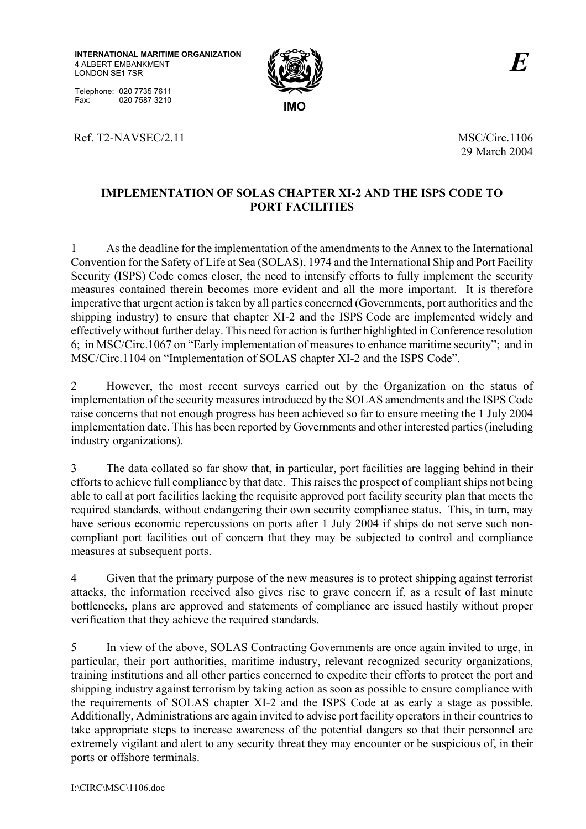**INTERNATIONAL MARITIME ORGANIZATION** 4 ALBERT EMBANKMENT LONDON SE1 7SR

Telephone: 020 7735 7611 Fax: 020 7587 3210 **IMO** 

Ref. T2-NAVSEC/2.11 MSC/Circ.1106



29 March 2004

## **IMPLEMENTATION OF SOLAS CHAPTER XI-2 AND THE ISPS CODE TO PORT FACILITIES**

1 As the deadline for the implementation of the amendments to the Annex to the International Convention for the Safety of Life at Sea (SOLAS), 1974 and the International Ship and Port Facility Security (ISPS) Code comes closer, the need to intensify efforts to fully implement the security measures contained therein becomes more evident and all the more important. It is therefore imperative that urgent action is taken by all parties concerned (Governments, port authorities and the shipping industry) to ensure that chapter XI-2 and the ISPS Code are implemented widely and effectively without further delay. This need for action is further highlighted in Conference resolution 6; in MSC/Circ.1067 on "Early implementation of measures to enhance maritime security"; and in MSC/Circ.1104 on "Implementation of SOLAS chapter XI-2 and the ISPS Code".

2 However, the most recent surveys carried out by the Organization on the status of implementation of the security measures introduced by the SOLAS amendments and the ISPS Code raise concerns that not enough progress has been achieved so far to ensure meeting the 1 July 2004 implementation date. This has been reported by Governments and other interested parties (including industry organizations).

3 The data collated so far show that, in particular, port facilities are lagging behind in their efforts to achieve full compliance by that date. This raises the prospect of compliant ships not being able to call at port facilities lacking the requisite approved port facility security plan that meets the required standards, without endangering their own security compliance status. This, in turn, may have serious economic repercussions on ports after 1 July 2004 if ships do not serve such noncompliant port facilities out of concern that they may be subjected to control and compliance measures at subsequent ports.

4 Given that the primary purpose of the new measures is to protect shipping against terrorist attacks, the information received also gives rise to grave concern if, as a result of last minute bottlenecks, plans are approved and statements of compliance are issued hastily without proper verification that they achieve the required standards.

5 In view of the above, SOLAS Contracting Governments are once again invited to urge, in particular, their port authorities, maritime industry, relevant recognized security organizations, training institutions and all other parties concerned to expedite their efforts to protect the port and shipping industry against terrorism by taking action as soon as possible to ensure compliance with the requirements of SOLAS chapter XI-2 and the ISPS Code at as early a stage as possible. Additionally, Administrations are again invited to advise port facility operators in their countries to take appropriate steps to increase awareness of the potential dangers so that their personnel are extremely vigilant and alert to any security threat they may encounter or be suspicious of, in their ports or offshore terminals.